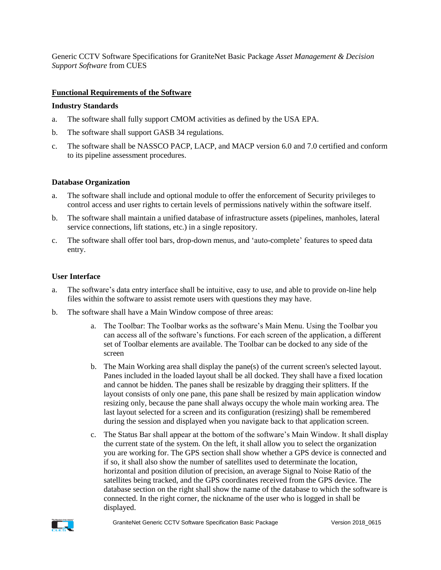Generic CCTV Software Specifications for GraniteNet Basic Package *Asset Management & Decision Support Software* from CUES

## **Functional Requirements of the Software**

#### **Industry Standards**

- a. The software shall fully support CMOM activities as defined by the USA EPA.
- b. The software shall support GASB 34 regulations.
- c. The software shall be NASSCO PACP, LACP, and MACP version 6.0 and 7.0 certified and conform to its pipeline assessment procedures.

### **Database Organization**

- a. The software shall include and optional module to offer the enforcement of Security privileges to control access and user rights to certain levels of permissions natively within the software itself.
- b. The software shall maintain a unified database of infrastructure assets (pipelines, manholes, lateral service connections, lift stations, etc.) in a single repository.
- c. The software shall offer tool bars, drop-down menus, and 'auto-complete' features to speed data entry.

#### **User Interface**

- a. The software's data entry interface shall be intuitive, easy to use, and able to provide on-line help files within the software to assist remote users with questions they may have.
- b. The software shall have a Main Window compose of three areas:
	- a. The Toolbar: The Toolbar works as the software's Main Menu. Using the Toolbar you can access all of the software's functions. For each screen of the application, a different set of Toolbar elements are available. The Toolbar can be docked to any side of the screen
	- b. The Main Working area shall display the pane(s) of the current screen's selected layout. Panes included in the loaded layout shall be all docked. They shall have a fixed location and cannot be hidden. The panes shall be resizable by dragging their splitters. If the layout consists of only one pane, this pane shall be resized by main application window resizing only, because the pane shall always occupy the whole main working area. The last layout selected for a screen and its configuration (resizing) shall be remembered during the session and displayed when you navigate back to that application screen.
	- c. The Status Bar shall appear at the bottom of the software's Main Window. It shall display the current state of the system. On the left, it shall allow you to select the organization you are working for. The GPS section shall show whether a GPS device is connected and if so, it shall also show the number of satellites used to determinate the location, horizontal and position dilution of precision, an average Signal to Noise Ratio of the satellites being tracked, and the GPS coordinates received from the GPS device. The database section on the right shall show the name of the database to which the software is connected. In the right corner, the nickname of the user who is logged in shall be displayed.

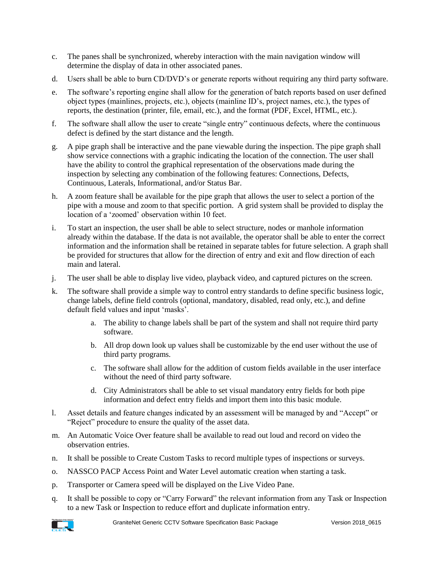- c. The panes shall be synchronized, whereby interaction with the main navigation window will determine the display of data in other associated panes.
- d. Users shall be able to burn CD/DVD's or generate reports without requiring any third party software.
- e. The software's reporting engine shall allow for the generation of batch reports based on user defined object types (mainlines, projects, etc.), objects (mainline ID's, project names, etc.), the types of reports, the destination (printer, file, email, etc.), and the format (PDF, Excel, HTML, etc.).
- f. The software shall allow the user to create "single entry" continuous defects, where the continuous defect is defined by the start distance and the length.
- g. A pipe graph shall be interactive and the pane viewable during the inspection. The pipe graph shall show service connections with a graphic indicating the location of the connection. The user shall have the ability to control the graphical representation of the observations made during the inspection by selecting any combination of the following features: Connections, Defects, Continuous, Laterals, Informational, and/or Status Bar.
- h. A zoom feature shall be available for the pipe graph that allows the user to select a portion of the pipe with a mouse and zoom to that specific portion. A grid system shall be provided to display the location of a 'zoomed' observation within 10 feet.
- i. To start an inspection, the user shall be able to select structure, nodes or manhole information already within the database. If the data is not available, the operator shall be able to enter the correct information and the information shall be retained in separate tables for future selection. A graph shall be provided for structures that allow for the direction of entry and exit and flow direction of each main and lateral.
- j. The user shall be able to display live video, playback video, and captured pictures on the screen.
- k. The software shall provide a simple way to control entry standards to define specific business logic, change labels, define field controls (optional, mandatory, disabled, read only, etc.), and define default field values and input 'masks'.
	- a. The ability to change labels shall be part of the system and shall not require third party software.
	- b. All drop down look up values shall be customizable by the end user without the use of third party programs.
	- c. The software shall allow for the addition of custom fields available in the user interface without the need of third party software.
	- d. City Administrators shall be able to set visual mandatory entry fields for both pipe information and defect entry fields and import them into this basic module.
- l. Asset details and feature changes indicated by an assessment will be managed by and "Accept" or "Reject" procedure to ensure the quality of the asset data.
- m. An Automatic Voice Over feature shall be available to read out loud and record on video the observation entries.
- n. It shall be possible to Create Custom Tasks to record multiple types of inspections or surveys.
- o. NASSCO PACP Access Point and Water Level automatic creation when starting a task.
- p. Transporter or Camera speed will be displayed on the Live Video Pane.
- q. It shall be possible to copy or "Carry Forward" the relevant information from any Task or Inspection to a new Task or Inspection to reduce effort and duplicate information entry.

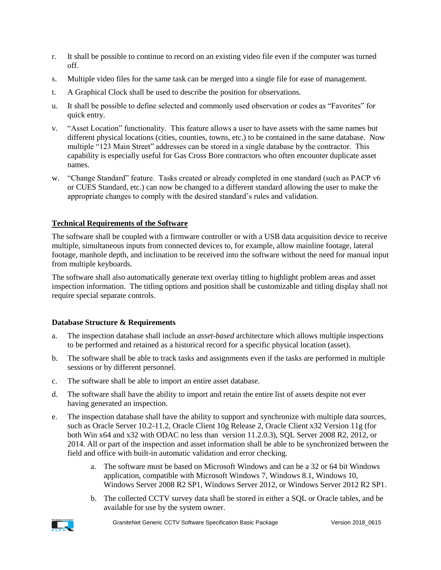- r. It shall be possible to continue to record on an existing video file even if the computer was turned off.
- s. Multiple video files for the same task can be merged into a single file for ease of management.
- t. A Graphical Clock shall be used to describe the position for observations.
- u. It shall be possible to define selected and commonly used observation or codes as "Favorites" for quick entry.
- v. "Asset Location" functionality. This feature allows a user to have assets with the same names but different physical locations (cities, counties, towns, etc.) to be contained in the same database. Now multiple "123 Main Street" addresses can be stored in a single database by the contractor. This capability is especially useful for Gas Cross Bore contractors who often encounter duplicate asset names.
- w. "Change Standard" feature. Tasks created or already completed in one standard (such as PACP v6 or CUES Standard, etc.) can now be changed to a different standard allowing the user to make the appropriate changes to comply with the desired standard's rules and validation.

# **Technical Requirements of the Software**

The software shall be coupled with a firmware controller or with a USB data acquisition device to receive multiple, simultaneous inputs from connected devices to, for example, allow mainline footage, lateral footage, manhole depth, and inclination to be received into the software without the need for manual input from multiple keyboards.

The software shall also automatically generate text overlay titling to highlight problem areas and asset inspection information. The titling options and position shall be customizable and titling display shall not require special separate controls.

### **Database Structure & Requirements**

- a. The inspection database shall include an *asset-based* architecture which allows multiple inspections to be performed and retained as a historical record for a specific physical location (asset).
- b. The software shall be able to track tasks and assignments even if the tasks are performed in multiple sessions or by different personnel.
- c. The software shall be able to import an entire asset database.
- d. The software shall have the ability to import and retain the entire list of assets despite not ever having generated an inspection.
- e. The inspection database shall have the ability to support and synchronize with multiple data sources, such as Oracle Server 10.2-11.2, Oracle Client 10g Release 2, Oracle Client x32 Version 11g (for both Win x64 and x32 with ODAC no less than version 11.2.0.3), SQL Server 2008 R2, 2012, or 2014. All or part of the inspection and asset information shall be able to be synchronized between the field and office with built-in automatic validation and error checking.
	- a. The software must be based on Microsoft Windows and can be a 32 or 64 bit Windows application, compatible with Microsoft Windows 7, Windows 8.1, Windows 10, Windows Server 2008 R2 SP1, Windows Server 2012, or Windows Server 2012 R2 SP1.
	- b. The collected CCTV survey data shall be stored in either a SQL or Oracle tables, and be available for use by the system owner.

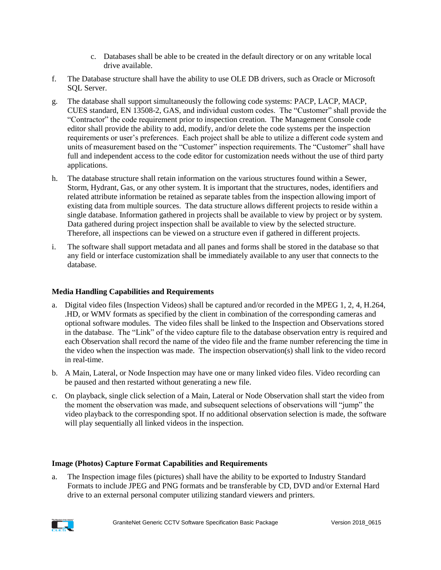- c. Databases shall be able to be created in the default directory or on any writable local drive available.
- f. The Database structure shall have the ability to use OLE DB drivers, such as Oracle or Microsoft SQL Server.
- g. The database shall support simultaneously the following code systems: PACP, LACP, MACP, CUES standard, EN 13508-2, GAS, and individual custom codes. The "Customer" shall provide the "Contractor" the code requirement prior to inspection creation. The Management Console code editor shall provide the ability to add, modify, and/or delete the code systems per the inspection requirements or user's preferences. Each project shall be able to utilize a different code system and units of measurement based on the "Customer" inspection requirements. The "Customer" shall have full and independent access to the code editor for customization needs without the use of third party applications.
- h. The database structure shall retain information on the various structures found within a Sewer, Storm, Hydrant, Gas, or any other system. It is important that the structures, nodes, identifiers and related attribute information be retained as separate tables from the inspection allowing import of existing data from multiple sources. The data structure allows different projects to reside within a single database. Information gathered in projects shall be available to view by project or by system. Data gathered during project inspection shall be available to view by the selected structure. Therefore, all inspections can be viewed on a structure even if gathered in different projects.
- i. The software shall support metadata and all panes and forms shall be stored in the database so that any field or interface customization shall be immediately available to any user that connects to the database.

# **Media Handling Capabilities and Requirements**

- a. Digital video files (Inspection Videos) shall be captured and/or recorded in the MPEG 1, 2, 4, H.264, .HD, or WMV formats as specified by the client in combination of the corresponding cameras and optional software modules. The video files shall be linked to the Inspection and Observations stored in the database. The "Link" of the video capture file to the database observation entry is required and each Observation shall record the name of the video file and the frame number referencing the time in the video when the inspection was made. The inspection observation(s) shall link to the video record in real-time.
- b. A Main, Lateral, or Node Inspection may have one or many linked video files. Video recording can be paused and then restarted without generating a new file.
- c. On playback, single click selection of a Main, Lateral or Node Observation shall start the video from the moment the observation was made, and subsequent selections of observations will "jump" the video playback to the corresponding spot. If no additional observation selection is made, the software will play sequentially all linked videos in the inspection.

# **Image (Photos) Capture Format Capabilities and Requirements**

a. The Inspection image files (pictures) shall have the ability to be exported to Industry Standard Formats to include JPEG and PNG formats and be transferable by CD, DVD and/or External Hard drive to an external personal computer utilizing standard viewers and printers.

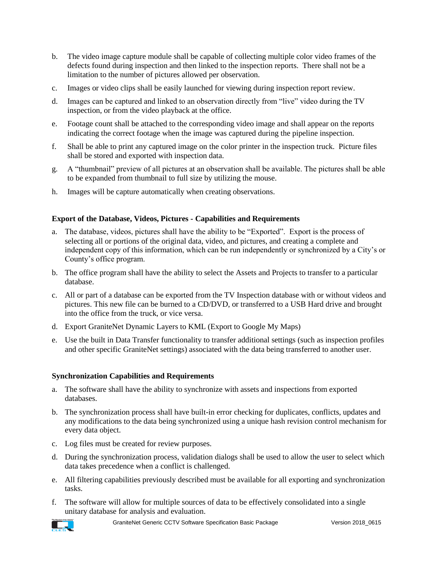- b. The video image capture module shall be capable of collecting multiple color video frames of the defects found during inspection and then linked to the inspection reports. There shall not be a limitation to the number of pictures allowed per observation.
- c. Images or video clips shall be easily launched for viewing during inspection report review.
- d. Images can be captured and linked to an observation directly from "live" video during the TV inspection, or from the video playback at the office.
- e. Footage count shall be attached to the corresponding video image and shall appear on the reports indicating the correct footage when the image was captured during the pipeline inspection.
- f. Shall be able to print any captured image on the color printer in the inspection truck. Picture files shall be stored and exported with inspection data.
- g. A "thumbnail" preview of all pictures at an observation shall be available. The pictures shall be able to be expanded from thumbnail to full size by utilizing the mouse.
- h. Images will be capture automatically when creating observations.

## **Export of the Database, Videos, Pictures - Capabilities and Requirements**

- a. The database, videos, pictures shall have the ability to be "Exported". Export is the process of selecting all or portions of the original data, video, and pictures, and creating a complete and independent copy of this information, which can be run independently or synchronized by a City's or County's office program.
- b. The office program shall have the ability to select the Assets and Projects to transfer to a particular database.
- c. All or part of a database can be exported from the TV Inspection database with or without videos and pictures. This new file can be burned to a CD/DVD, or transferred to a USB Hard drive and brought into the office from the truck, or vice versa.
- d. Export GraniteNet Dynamic Layers to KML (Export to Google My Maps)
- e. Use the built in Data Transfer functionality to transfer additional settings (such as inspection profiles and other specific GraniteNet settings) associated with the data being transferred to another user.

### **Synchronization Capabilities and Requirements**

- a. The software shall have the ability to synchronize with assets and inspections from exported databases.
- b. The synchronization process shall have built-in error checking for duplicates, conflicts, updates and any modifications to the data being synchronized using a unique hash revision control mechanism for every data object.
- c. Log files must be created for review purposes.
- d. During the synchronization process, validation dialogs shall be used to allow the user to select which data takes precedence when a conflict is challenged.
- e. All filtering capabilities previously described must be available for all exporting and synchronization tasks.
- f. The software will allow for multiple sources of data to be effectively consolidated into a single unitary database for analysis and evaluation.

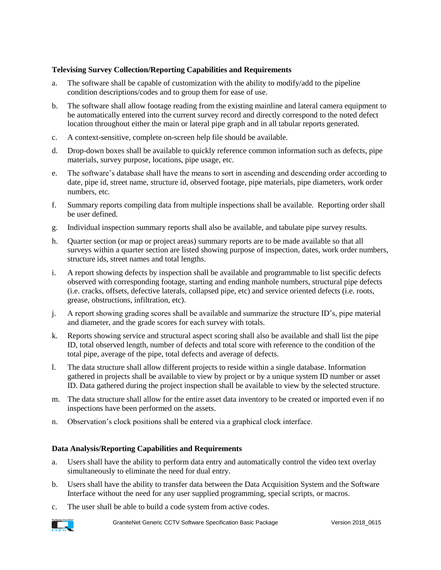## **Televising Survey Collection/Reporting Capabilities and Requirements**

- a. The software shall be capable of customization with the ability to modify/add to the pipeline condition descriptions/codes and to group them for ease of use.
- b. The software shall allow footage reading from the existing mainline and lateral camera equipment to be automatically entered into the current survey record and directly correspond to the noted defect location throughout either the main or lateral pipe graph and in all tabular reports generated.
- c. A context-sensitive, complete on-screen help file should be available.
- d. Drop-down boxes shall be available to quickly reference common information such as defects, pipe materials, survey purpose, locations, pipe usage, etc.
- e. The software's database shall have the means to sort in ascending and descending order according to date, pipe id, street name, structure id, observed footage, pipe materials, pipe diameters, work order numbers, etc.
- f. Summary reports compiling data from multiple inspections shall be available. Reporting order shall be user defined.
- g. Individual inspection summary reports shall also be available, and tabulate pipe survey results.
- h. Quarter section (or map or project areas) summary reports are to be made available so that all surveys within a quarter section are listed showing purpose of inspection, dates, work order numbers, structure ids, street names and total lengths.
- i. A report showing defects by inspection shall be available and programmable to list specific defects observed with corresponding footage, starting and ending manhole numbers, structural pipe defects (i.e. cracks, offsets, defective laterals, collapsed pipe, etc) and service oriented defects (i.e. roots, grease, obstructions, infiltration, etc).
- j. A report showing grading scores shall be available and summarize the structure ID's, pipe material and diameter, and the grade scores for each survey with totals.
- k. Reports showing service and structural aspect scoring shall also be available and shall list the pipe ID, total observed length, number of defects and total score with reference to the condition of the total pipe, average of the pipe, total defects and average of defects.
- l. The data structure shall allow different projects to reside within a single database. Information gathered in projects shall be available to view by project or by a unique system ID number or asset ID. Data gathered during the project inspection shall be available to view by the selected structure.
- m. The data structure shall allow for the entire asset data inventory to be created or imported even if no inspections have been performed on the assets.
- n. Observation's clock positions shall be entered via a graphical clock interface.

### **Data Analysis/Reporting Capabilities and Requirements**

- a. Users shall have the ability to perform data entry and automatically control the video text overlay simultaneously to eliminate the need for dual entry.
- b. Users shall have the ability to transfer data between the Data Acquisition System and the Software Interface without the need for any user supplied programming, special scripts, or macros.
- c. The user shall be able to build a code system from active codes.

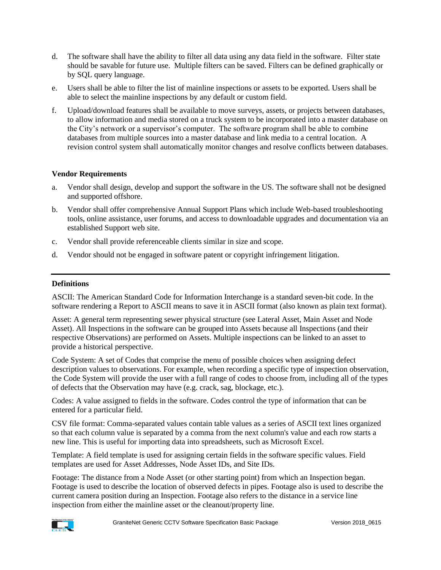- d. The software shall have the ability to filter all data using any data field in the software. Filter state should be savable for future use. Multiple filters can be saved. Filters can be defined graphically or by SQL query language.
- e. Users shall be able to filter the list of mainline inspections or assets to be exported. Users shall be able to select the mainline inspections by any default or custom field.
- f. Upload/download features shall be available to move surveys, assets, or projects between databases, to allow information and media stored on a truck system to be incorporated into a master database on the City's network or a supervisor's computer. The software program shall be able to combine databases from multiple sources into a master database and link media to a central location. A revision control system shall automatically monitor changes and resolve conflicts between databases.

# **Vendor Requirements**

- a. Vendor shall design, develop and support the software in the US. The software shall not be designed and supported offshore.
- b. Vendor shall offer comprehensive Annual Support Plans which include Web-based troubleshooting tools, online assistance, user forums, and access to downloadable upgrades and documentation via an established Support web site.
- c. Vendor shall provide referenceable clients similar in size and scope.
- d. Vendor should not be engaged in software patent or copyright infringement litigation.

### **Definitions**

ASCII: The American Standard Code for Information Interchange is a standard seven-bit code. In the software rendering a Report to ASCII means to save it in ASCII format (also known as plain text format).

Asset: A general term representing sewer physical structure (see Lateral Asset, Main Asset and Node Asset). All Inspections in the software can be grouped into Assets because all Inspections (and their respective Observations) are performed on Assets. Multiple inspections can be linked to an asset to provide a historical perspective.

Code System: A set of Codes that comprise the menu of possible choices when assigning defect description values to observations. For example, when recording a specific type of inspection observation, the Code System will provide the user with a full range of codes to choose from, including all of the types of defects that the Observation may have (e.g. crack, sag, blockage, etc.).

Codes: A value assigned to fields in the software. Codes control the type of information that can be entered for a particular field.

CSV file format: Comma-separated values contain table values as a series of ASCII text lines organized so that each column value is separated by a comma from the next column's value and each row starts a new line. This is useful for importing data into spreadsheets, such as Microsoft Excel.

Template: A field template is used for assigning certain fields in the software specific values. Field templates are used for Asset Addresses, Node Asset IDs, and Site IDs.

Footage: The distance from a Node Asset (or other starting point) from which an Inspection began. Footage is used to describe the location of observed defects in pipes. Footage also is used to describe the current camera position during an Inspection. Footage also refers to the distance in a service line inspection from either the mainline asset or the cleanout/property line.

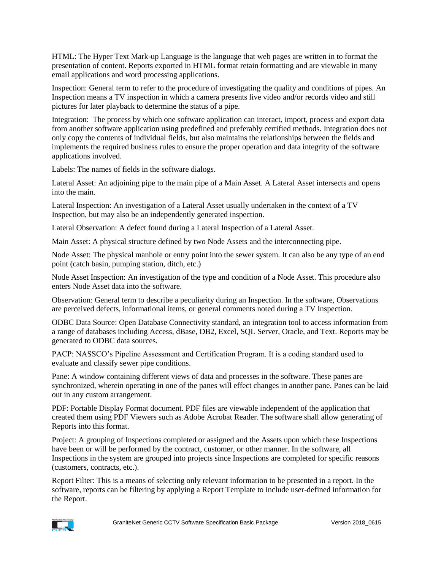HTML: The Hyper Text Mark-up Language is the language that web pages are written in to format the presentation of content. Reports exported in HTML format retain formatting and are viewable in many email applications and word processing applications.

Inspection: General term to refer to the procedure of investigating the quality and conditions of pipes. An Inspection means a TV inspection in which a camera presents live video and/or records video and still pictures for later playback to determine the status of a pipe.

Integration: The process by which one software application can interact, import, process and export data from another software application using predefined and preferably certified methods. Integration does not only copy the contents of individual fields, but also maintains the relationships between the fields and implements the required business rules to ensure the proper operation and data integrity of the software applications involved.

Labels: The names of fields in the software dialogs.

Lateral Asset: An adjoining pipe to the main pipe of a Main Asset. A Lateral Asset intersects and opens into the main.

Lateral Inspection: An investigation of a Lateral Asset usually undertaken in the context of a TV Inspection, but may also be an independently generated inspection.

Lateral Observation: A defect found during a Lateral Inspection of a Lateral Asset.

Main Asset: A physical structure defined by two Node Assets and the interconnecting pipe.

Node Asset: The physical manhole or entry point into the sewer system. It can also be any type of an end point (catch basin, pumping station, ditch, etc.)

Node Asset Inspection: An investigation of the type and condition of a Node Asset. This procedure also enters Node Asset data into the software.

Observation: General term to describe a peculiarity during an Inspection. In the software, Observations are perceived defects, informational items, or general comments noted during a TV Inspection.

ODBC Data Source: Open Database Connectivity standard, an integration tool to access information from a range of databases including Access, dBase, [DB2,](http://searchdatabase.techtarget.com/sDefinition/0,,sid13_gci213553,00.html) Excel, SQL Server, Oracle, and Text. Reports may be generated to ODBC data sources.

PACP: NASSCO's Pipeline Assessment and Certification Program. It is a coding standard used to evaluate and classify sewer pipe conditions.

Pane: A window containing different views of data and processes in the software. These panes are synchronized, wherein operating in one of the panes will effect changes in another pane. Panes can be laid out in any custom arrangement.

PDF: Portable Display Format document. PDF files are viewable independent of the application that created them using PDF Viewers such as Adobe Acrobat Reader. The software shall allow generating of Reports into this format.

Project: A grouping of Inspections completed or assigned and the Assets upon which these Inspections have been or will be performed by the contract, customer, or other manner. In the software, all Inspections in the system are grouped into projects since Inspections are completed for specific reasons (customers, contracts, etc.).

Report Filter: This is a means of selecting only relevant information to be presented in a report. In the software, reports can be filtering by applying a Report Template to include user-defined information for the Report.